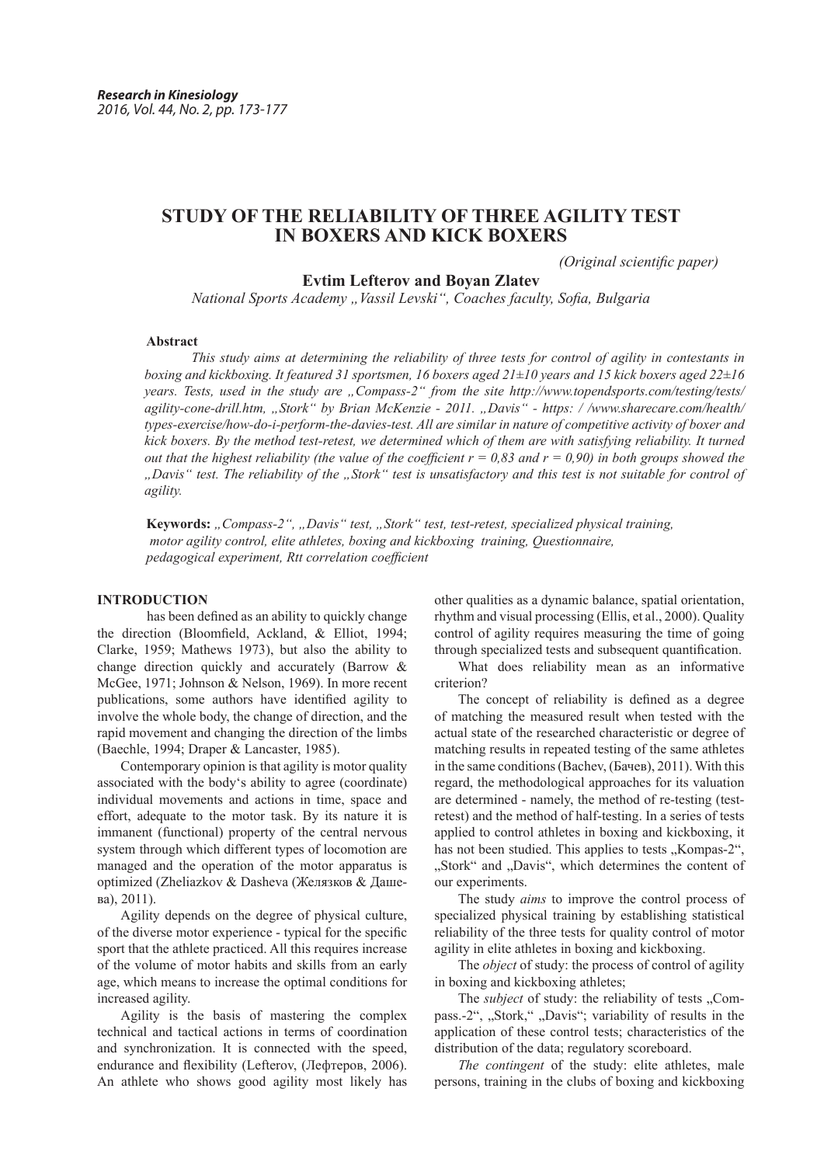# **STUDY OF THE RELIABILITY OF THREE AGILITY TEST IN BOXERS AND KICK BOXERS**

*(Original scientific paper)*

### **Evtim Lefterov and Boyan Zlatev**

*National Sports Academy "Vassil Levski", Coaches faculty, Sofia, Bulgaria*

#### **Abstract**

*This study aims at determining the reliability of three tests for control of agility in contestants in boxing and kickboxing. It featured 31 sportsmen, 16 boxers aged 21±10 years and 15 kick boxers aged 22±16 years. Tests, used in the study are "Compass-2" from the site http://www.topendsports.com/testing/tests/ agility-cone-drill.htm, "Stork" by Brian McKenzie - 2011. "Davis" - https: / /www.sharecare.com/health/ types-exercise/how-do-i-perform-the-davies-test. All are similar in nature of competitive activity of boxer and kick boxers. By the method test-retest, we determined which of them are with satisfying reliability. It turned out that the highest reliability (the value of the coefficient*  $r = 0.83$  *and*  $r = 0.90$ *) in both groups showed the "Davis" test. The reliability of the "Stork" test is unsatisfactory and this test is not suitable for control of agility.*

**Keywords:** *"Compass-2", "Davis" test, "Stork" test, test-retest, specialized physical training, motor agility control, elite athletes, boxing and kickboxing training, Questionnaire, pedagogical experiment, Rtt correlation coefficient*

# **INTRODUCTION**

 has been defined as an ability to quickly change the direction (Bloomfield, Ackland, & Elliot, 1994; Clarke, 1959; Mathews 1973), but also the ability to change direction quickly and accurately (Barrow & McGee, 1971; Johnson & Nelson, 1969). In more recent publications, some authors have identified agility to involve the whole body, the change of direction, and the rapid movement and changing the direction of the limbs (Baechle, 1994; Draper & Lancaster, 1985).

Contemporary opinion is that agility is motor quality associated with the body's ability to agree (coordinate) individual movements and actions in time, space and effort, adequate to the motor task. By its nature it is immanent (functional) property of the central nervous system through which different types of locomotion are managed and the operation of the motor apparatus is optimized (Zheliazkov & Dasheva (Желязков & Дашева), 2011).

Agility depends on the degree of physical culture, of the diverse motor experience - typical for the specific sport that the athlete practiced. All this requires increase of the volume of motor habits and skills from an early age, which means to increase the optimal conditions for increased agility.

Agility is the basis of mastering the complex technical and tactical actions in terms of coordination and synchronization. It is connected with the speed, endurance and flexibility (Lefterov, (Лефтеров, 2006). An athlete who shows good agility most likely has other qualities as a dynamic balance, spatial orientation, rhythm and visual processing (Ellis, et al., 2000). Quality control of agility requires measuring the time of going through specialized tests and subsequent quantification.

What does reliability mean as an informative criterion?

The concept of reliability is defined as a degree of matching the measured result when tested with the actual state of the researched characteristic or degree of matching results in repeated testing of the same athletes in the same conditions (Bachev, (Бачев), 2011). With this regard, the methodological approaches for its valuation are determined - namely, the method of re-testing (testretest) and the method of half-testing. In a series of tests applied to control athletes in boxing and kickboxing, it has not been studied. This applies to tests "Kompas-2", "Stork" and "Davis", which determines the content of our experiments.

The study *aims* to improve the control process of specialized physical training by establishing statistical reliability of the three tests for quality control of motor agility in elite athletes in boxing and kickboxing.

The *object* of study: the process of control of agility in boxing and kickboxing athletes;

The *subject* of study: the reliability of tests ...Compass.-2", "Stork," "Davis"; variability of results in the application of these control tests; characteristics of the distribution of the data; regulatory scoreboard.

*The contingent* of the study: elite athletes, male persons, training in the clubs of boxing and kickboxing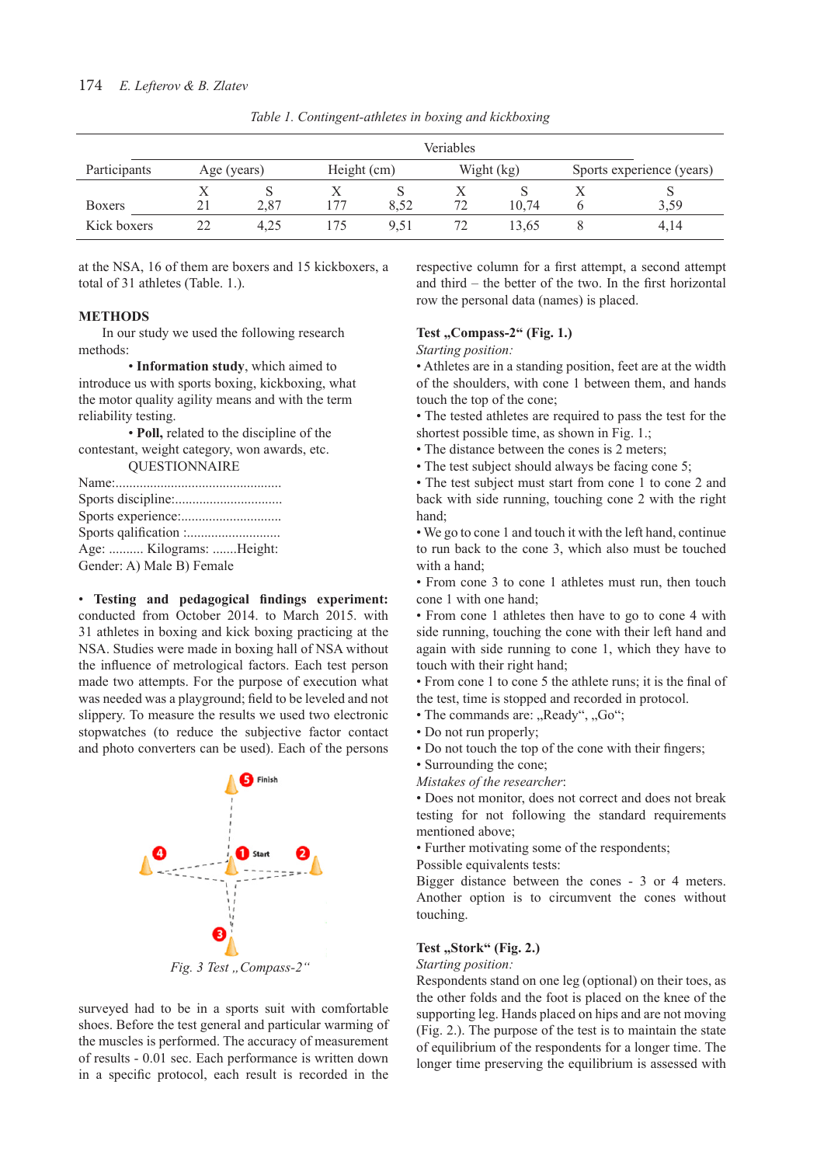|               |             |      |             |      | <b>Veriables</b> |            |   |                           |
|---------------|-------------|------|-------------|------|------------------|------------|---|---------------------------|
| Participants  | Age (years) |      | Height (cm) |      |                  | Wight (kg) |   | Sports experience (years) |
| <b>Boxers</b> | 21          | 2.87 | 177         | 8.52 | 72               | 10.74      | O | 3.59                      |
| Kick boxers   | 22          | 4,25 | 175         | 9.51 | 72               | 13,65      |   | 4,14                      |

*Table 1. Contingent-athletes in boxing and kickboxing*

at the NSA, 16 of them are boxers and 15 kickboxers, a total of 31 athletes (Table. 1.).

#### **METHODS**

In our study we used the following research methods:

• **Information study**, which aimed to introduce us with sports boxing, kickboxing, what the motor quality agility means and with the term reliability testing.

• **Poll,** related to the discipline of the contestant, weight category, won awards, etc.

QUESTIONNAIRE

| Age:  Kilograms: Height:  |
|---------------------------|
| Gender: A) Male B) Female |

• **Testing and pedagogical findings experiment:** conducted from October 2014. to March 2015. with 31 athletes in boxing and kick boxing practicing at the NSA. Studies were made in boxing hall of NSA without the influence of metrological factors. Each test person made two attempts. For the purpose of execution what was needed was a playground; field to be leveled and not slippery. To measure the results we used two electronic stopwatches (to reduce the subjective factor contact and photo converters can be used). Each of the persons



surveyed had to be in a sports suit with comfortable shoes. Before the test general and particular warming of the muscles is performed. The accuracy of measurement of results - 0.01 sec. Each performance is written down in a specific protocol, each result is recorded in the respective column for a first attempt, a second attempt and third – the better of the two. In the first horizontal row the personal data (names) is placed.

# Test "Compass-2" (Fig. 1.)

*Starting position:*

• Athletes are in a standing position, feet are at the width of the shoulders, with cone 1 between them, and hands touch the top of the cone;

• The tested athletes are required to pass the test for the shortest possible time, as shown in Fig. 1.;

• The distance between the cones is 2 meters;

• The test subject should always be facing cone 5;

• The test subject must start from cone 1 to cone 2 and back with side running, touching cone 2 with the right hand;

• We go to cone 1 and touch it with the left hand, continue to run back to the cone 3, which also must be touched with a hand;

• From cone 3 to cone 1 athletes must run, then touch cone 1 with one hand;

• From cone 1 athletes then have to go to cone 4 with side running, touching the cone with their left hand and again with side running to cone 1, which they have to touch with their right hand;

• From cone 1 to cone 5 the athlete runs; it is the final of the test, time is stopped and recorded in protocol.

• The commands are: "Ready", "Go";

- Do not run properly;
- Do not touch the top of the cone with their fingers;
- Surrounding the cone;

*Mistakes of the researcher*:

• Does not monitor, does not correct and does not break testing for not following the standard requirements mentioned above;

• Further motivating some of the respondents;

Possible equivalents tests:

Bigger distance between the cones - 3 or 4 meters. Another option is to circumvent the cones without touching.

# **Test ,, Stork" (Fig. 2.)**

# *Starting position:*

Respondents stand on one leg (optional) on their toes, as the other folds and the foot is placed on the knee of the supporting leg. Hands placed on hips and are not moving (Fig. 2.). The purpose of the test is to maintain the state of equilibrium of the respondents for a longer time. The longer time preserving the equilibrium is assessed with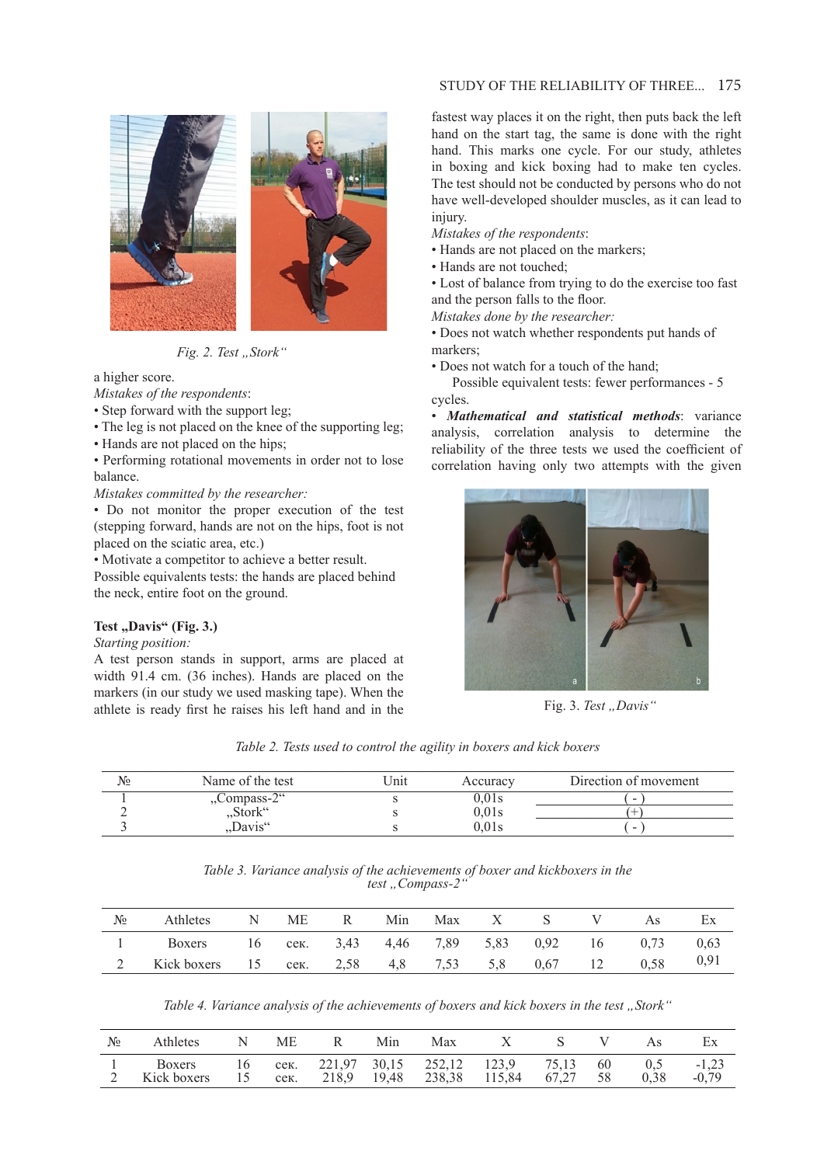# STUDY OF THE RELIABILITY OF THREE... 175



*Fig. 2. Test "Stork"* 

a higher score.

*Mistakes of the respondents*:

• Step forward with the support leg;

• The leg is not placed on the knee of the supporting leg;

• Hands are not placed on the hips;

• Performing rotational movements in order not to lose balance.

*Mistakes committed by the researcher:*

• Do not monitor the proper execution of the test (stepping forward, hands are not on the hips, foot is not placed on the sciatic area, etc.)

• Motivate a competitor to achieve a better result. Possible equivalents tests: the hands are placed behind the neck, entire foot on the ground.

# Test "Davis" (Fig. 3.)

*Starting position:*

A test person stands in support, arms are placed at width 91.4 cm. (36 inches). Hands are placed on the markers (in our study we used masking tape). When the athlete is ready first he raises his left hand and in the fastest way places it on the right, then puts back the left hand on the start tag, the same is done with the right hand. This marks one cycle. For our study, athletes in boxing and kick boxing had to make ten cycles. The test should not be conducted by persons who do not have well-developed shoulder muscles, as it can lead to injury.

*Mistakes of the respondents*:

- Hands are not placed on the markers;
- Hands are not touched;

• Lost of balance from trying to do the exercise too fast and the person falls to the floor.

*Mistakes done by the researcher:*

• Does not watch whether respondents put hands of markers;

• Does not watch for a touch of the hand;

 Possible equivalent tests: fewer performances - 5 cycles.

• *Mathematical and statistical methods*: variance analysis, correlation analysis to determine the reliability of the three tests we used the coefficient of correlation having only two attempts with the given



Fig. 3. Test "Davis"

*Table 2. Tests used to control the agility in boxers and kick boxers*

| No | Name of the test              | Unit | Accuracy | Direction of movement |
|----|-------------------------------|------|----------|-----------------------|
|    | $\sqrt{2}$ Compass-2"         |      | 0.01s    | -                     |
|    | $S\text{fork}^{\prime\prime}$ |      | 0.01s    |                       |
|    | "Davis"                       |      | 0.01s    | -                     |

*Table 3. Variance analysis of the achievements of boxer and kickboxers in the*  test "Compass-2"

| $N_2$ | Athletes                                             | $\mathbb{N}$ | ME R | Min |  | Max X S |               | Ex |
|-------|------------------------------------------------------|--------------|------|-----|--|---------|---------------|----|
|       | Boxers 16 cek. 3,43 4,46 7,89 5,83 0,92 16 0,73 0,63 |              |      |     |  |         |               |    |
|       | Kick boxers 15 сек. 2,58 4,8 7,53 5,8 0,67 12        |              |      |     |  |         | $0.58$ $0.91$ |    |

Table 4. Variance analysis of the achievements of boxers and kick boxers in the test "Stork"

| $N_2$ | <b>Athletes</b>              |          | МE   | Min | Max                                                        |        |       |            |             | Еx                 |
|-------|------------------------------|----------|------|-----|------------------------------------------------------------|--------|-------|------------|-------------|--------------------|
|       | <b>Boxers</b><br>Kick boxers | 16<br>15 | сек. |     | сек. 221,97 30,15 252,12 123,9 75,13<br>218,9 19,48 238,38 | 115,84 | 67,27 | - 60<br>58 | 0.5<br>0.38 | $-1.23$<br>$-0.79$ |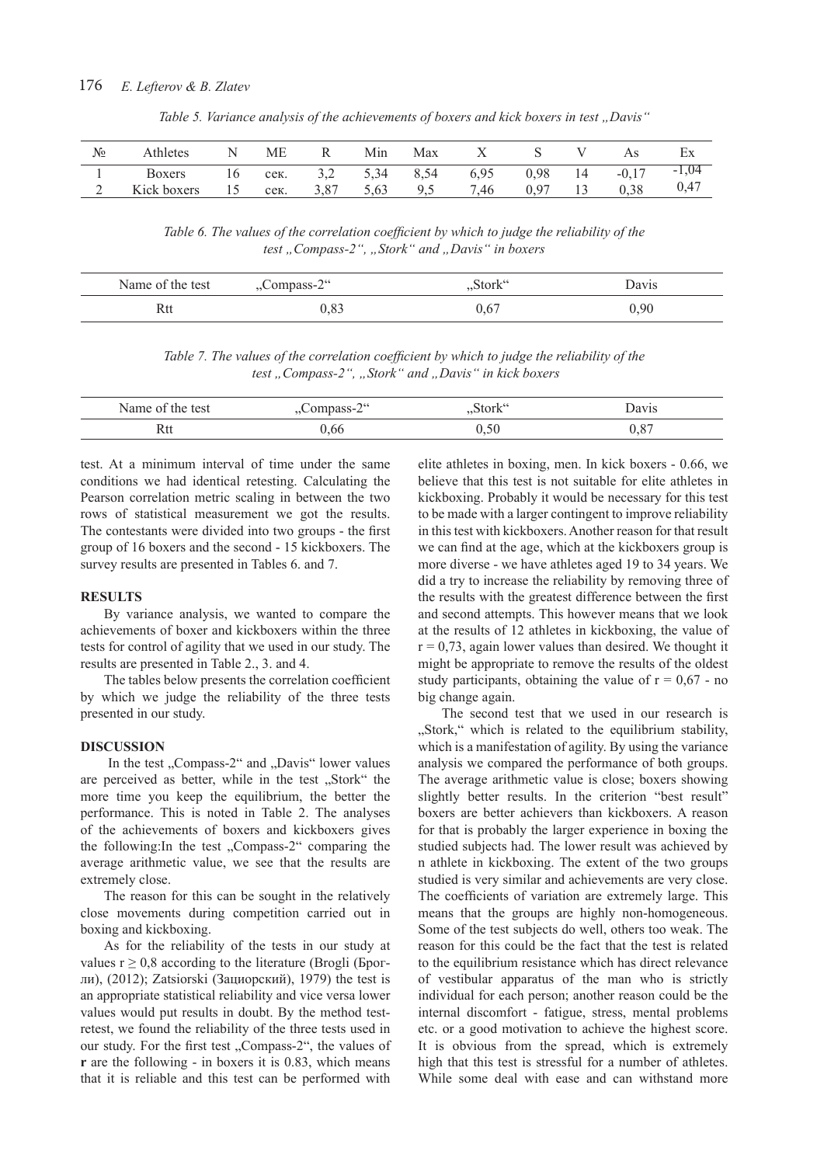| $N_2$ | Athletes      |    | ME   |            | Min  | Max  | ∡⊾   |      |    | AS       | ЕX        |
|-------|---------------|----|------|------------|------|------|------|------|----|----------|-----------|
|       | <b>Boxers</b> | 16 | сек. | ے ۔        | 5.34 | 8.54 | 6,95 | 0,98 | 14 | $-0.1$ . | 1,04<br>- |
|       | Kick boxers   |    | сек. | 207<br>3.0 | 5.63 | ۔ ۔  | 7,46 | 0,97 |    | 0,38     | 0,47      |

*Table 5. Variance analysis of the achievements of boxers and kick boxers in test "Davis"*

Table 6. The values of the correlation coefficient by which to judge the reliability of the test "Compass-2", "Stork" and "Davis" in boxers

| Name of the test | $,$ Compass-2 $\degree$ | "Stork" | Davis |  |
|------------------|-------------------------|---------|-------|--|
| Rtt              | 0,83                    | 0.67    | 0.90  |  |

*Table 7. The values of the correlation coefficient by which to judge the reliability of the* test "Compass-2", "Stork" and "Davis" in kick boxers

| the test<br>Name of | $\bigcap$ cc<br>3000<br>- om<br>∪IIIµass=∠ | "Stork" | $\frac{1}{2}$<br>'avis |
|---------------------|--------------------------------------------|---------|------------------------|
| 111                 | .bt                                        |         | $\sim$                 |

test. At a minimum interval of time under the same conditions we had identical retesting. Calculating the Pearson correlation metric scaling in between the two rows of statistical measurement we got the results. The contestants were divided into two groups - the first group of 16 boxers and the second - 15 kickboxers. The survey results are presented in Tables 6. and 7.

## **RESULTS**

By variance analysis, we wanted to compare the achievements of boxer and kickboxers within the three tests for control of agility that we used in our study. The results are presented in Table 2., 3. and 4.

The tables below presents the correlation coefficient by which we judge the reliability of the three tests presented in our study.

#### **DISCUSSION**

In the test "Compass-2" and "Davis" lower values are perceived as better, while in the test "Stork" the more time you keep the equilibrium, the better the performance. This is noted in Table 2. The analyses of the achievements of boxers and kickboxers gives the following:In the test "Compass-2" comparing the average arithmetic value, we see that the results are extremely close.

The reason for this can be sought in the relatively close movements during competition carried out in boxing and kickboxing.

As for the reliability of the tests in our study at values  $r \geq 0.8$  according to the literature (Brogli (Брогли), (2012); Zatsiorski (Зациорский), 1979) the test is an appropriate statistical reliability and vice versa lower values would put results in doubt. By the method testretest, we found the reliability of the three tests used in our study. For the first test "Compass-2", the values of **r** are the following - in boxers it is 0.83, which means that it is reliable and this test can be performed with

elite athletes in boxing, men. In kick boxers - 0.66, we believe that this test is not suitable for elite athletes in kickboxing. Probably it would be necessary for this test to be made with a larger contingent to improve reliability in this test with kickboxers. Another reason for that result we can find at the age, which at the kickboxers group is more diverse - we have athletes aged 19 to 34 years. We did a try to increase the reliability by removing three of the results with the greatest difference between the first and second attempts. This however means that we look at the results of 12 athletes in kickboxing, the value of  $r = 0.73$ , again lower values than desired. We thought it might be appropriate to remove the results of the oldest study participants, obtaining the value of  $r = 0.67$  - no big change again.

The second test that we used in our research is "Stork," which is related to the equilibrium stability, which is a manifestation of agility. By using the variance analysis we compared the performance of both groups. The average arithmetic value is close; boxers showing slightly better results. In the criterion "best result" boxers are better achievers than kickboxers. A reason for that is probably the larger experience in boxing the studied subjects had. The lower result was achieved by n athlete in kickboxing. The extent of the two groups studied is very similar and achievements are very close. The coefficients of variation are extremely large. This means that the groups are highly non-homogeneous. Some of the test subjects do well, others too weak. The reason for this could be the fact that the test is related to the equilibrium resistance which has direct relevance of vestibular apparatus of the man who is strictly individual for each person; another reason could be the internal discomfort - fatigue, stress, mental problems etc. or a good motivation to achieve the highest score. It is obvious from the spread, which is extremely high that this test is stressful for a number of athletes. While some deal with ease and can withstand more